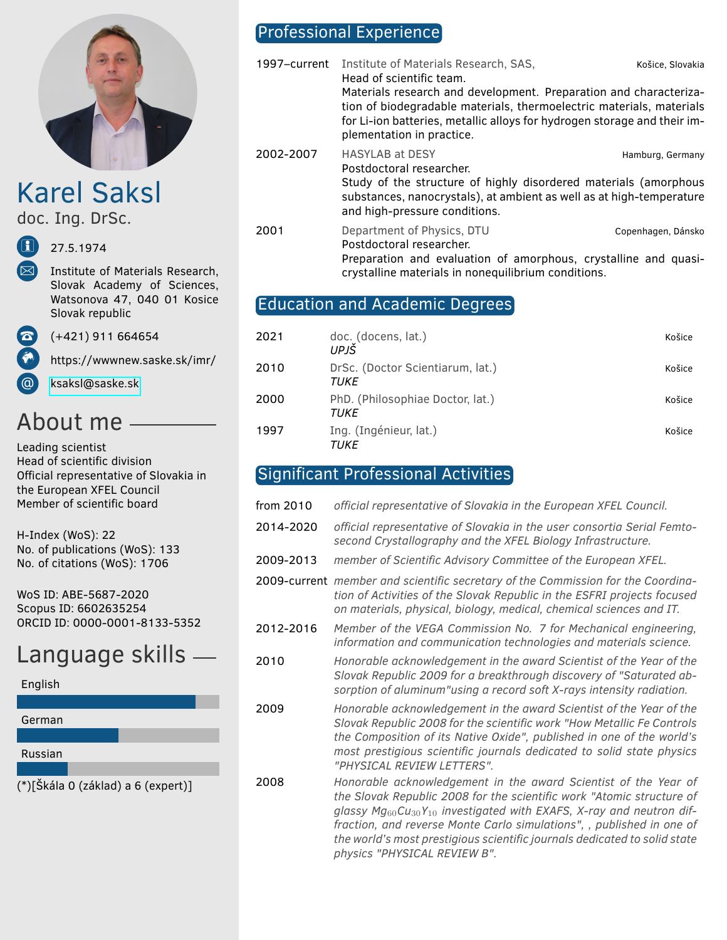

Karel Saksl

doc. Ing. DrSc.

i 27.5.1974

Institute of Materials Research, Slovak Academy of Sciences, Watsonova 47, 040 01 Kosice Slovak republic

 $(+421)$  911 664654

https://wwwnew.saske.sk/imr/

@ [ksaksl@saske.sk](mailto:ksaksl@saske.sk)

# About me

Leading scientist Head of scientific division Official representative of Slovakia in the European XFEL Council Member of scientific board

H-Index (WoS): 22 No. of publications (WoS): 133 No. of citations (WoS): 1706

WoS ID: ABE-5687-2020 Scopus ID: 6602635254 ORCID ID: 0000-0001-8133-5352

# Language skills

English



# Professional Experience

1997–current Institute of Materials Research, SAS, Košice, Slovakia Head of scientific team. Materials research and development. Preparation and characterization of biodegradable materials, thermoelectric materials, materials for Li-ion batteries, metallic alloys for hydrogen storage and their implementation in practice. 2002-2007 HASYLAB at DESY **Hamburg, Germany** Postdoctoral researcher. Study of the structure of highly disordered materials (amorphous substances, nanocrystals), at ambient as well as at high-temperature and high-pressure conditions. 2001 Department of Physics, DTU Copenhagen, Dánsko Postdoctoral researcher.

Preparation and evaluation of amorphous, crystalline and quasicrystalline materials in nonequilibrium conditions.

# Education and Academic Degrees

| 2021 | doc. (docens, lat.)<br>UPJŠ              | Košice |
|------|------------------------------------------|--------|
| 2010 | DrSc. (Doctor Scientiarum, lat.)<br>TUKE | Košice |
| 2000 | PhD. (Philosophiae Doctor, lat.)<br>TUKE | Košice |
| 1997 | Ing. (Ingénieur, lat.)<br>тике           | Košice |

# Significant Professional Activities

- from 2010 *official representative of Slovakia in the European XFEL Council.*
- 2014-2020 *official representative of Slovakia in the user consortia Serial Femtosecond Crystallography and the XFEL Biology Infrastructure.*
- 2009-2013 *member of Scientific Advisory Committee of the European XFEL.*
- 2009-current *member and scientific secretary of the Commission for the Coordination of Activities of the Slovak Republic in the ESFRI projects focused on materials, physical, biology, medical, chemical sciences and IT.*
- 2012-2016 *Member of the VEGA Commission No. 7 for Mechanical engineering, information and communication technologies and materials science.*
- 2010 *Honorable acknowledgement in the award Scientist of the Year of the Slovak Republic 2009 for a breakthrough discovery of "Saturated absorption of aluminum"using a record soft X-rays intensity radiation.*
- 2009 *Honorable acknowledgement in the award Scientist of the Year of the Slovak Republic 2008 for the scientific work "How Metallic Fe Controls the Composition of its Native Oxide", published in one of the world's most prestigious scientific journals dedicated to solid state physics "PHYSICAL REVIEW LETTERS".*
- 2008 *Honorable acknowledgement in the award Scientist of the Year of the Slovak Republic 2008 for the scientific work "Atomic structure of glassy Mg*60*Cu*30*Y*<sup>10</sup> *investigated with EXAFS, X-ray and neutron diffraction, and reverse Monte Carlo simulations", , published in one of the world's most prestigious scientific journals dedicated to solid state physics "PHYSICAL REVIEW B".*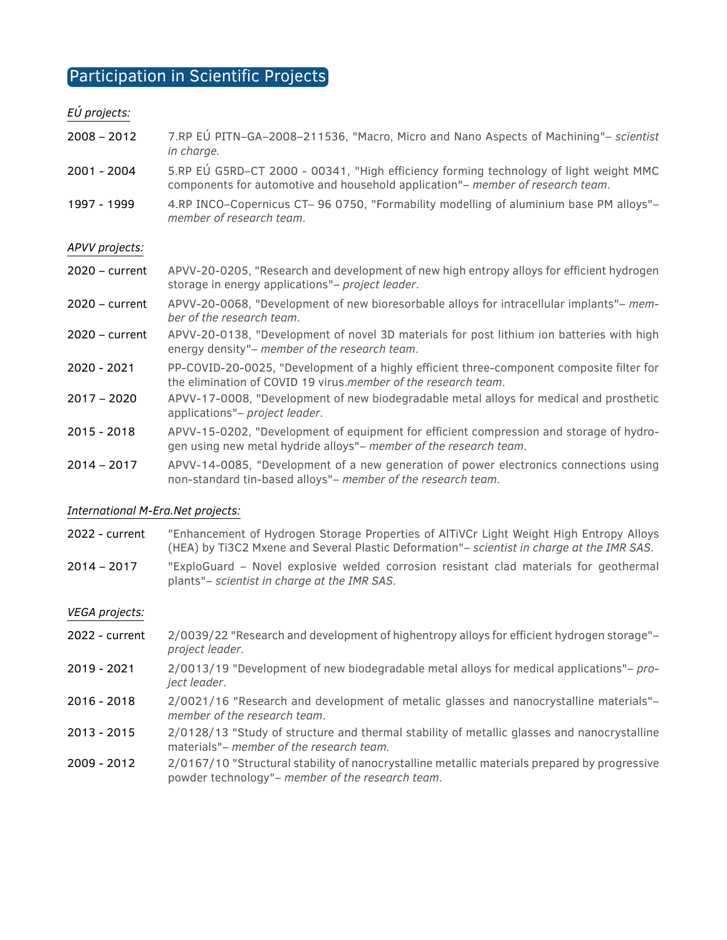# Participation in Scientific Projects

#### *EÚ projects:*

- 2008 2012 7.RP EÚ PITN–GA–2008–211536, "Macro, Micro and Nano Aspects of Machining"– *scientist in charge.*
- 2001 2004 5.RP EÚ G5RD–CT 2000 00341, "High efficiency forming technology of light weight MMC components for automotive and household application"– *member of research team*.
- 1997 1999 4.RP INCO–Copernicus CT– 96 0750, "Formability modelling of aluminium base PM alloys"– *member of research team*.

#### *APVV projects:*

- 2020 current APVV-20-0205, "Research and development of new high entropy alloys for efficient hydrogen storage in energy applications"– *project leader*.
- 2020 current APVV-20-0068, "Development of new bioresorbable alloys for intracellular implants"– *member of the research team*.
- 2020 current APVV-20-0138, "Development of novel 3D materials for post lithium ion batteries with high energy density"– *member of the research team*.
- 2020 2021 PP-COVID-20-0025, "Development of a highly efficient three-component composite filter for the elimination of COVID 19 virus.*member of the research team*.
- 2017 2020 APVV-17-0008, "Development of new biodegradable metal alloys for medical and prosthetic applications"– *project leader*.
- 2015 2018 APVV-15-0202, "Development of equipment for efficient compression and storage of hydrogen using new metal hydride alloys"– *member of the research team*.
- 2014 2017 APVV-14-0085, "Development of a new generation of power electronics connections using non-standard tin-based alloys"– *member of the research team*.

#### *International M-Era.Net projects:*

- 2022 current "Enhancement of Hydrogen Storage Properties of AlTiVCr Light Weight High Entropy Alloys (HEA) by Ti3C2 Mxene and Several Plastic Deformation"– *scientist in charge at the IMR SAS*.
- 2014 2017 "ExploGuard Novel explosive welded corrosion resistant clad materials for geothermal plants"– *scientist in charge at the IMR SAS*.

#### *VEGA projects:*

- 2022 current 2/0039/22 "Research and development of highentropy alloys for efficient hydrogen storage"– *project leader*.
- 2019 2021 2/0013/19 "Development of new biodegradable metal alloys for medical applications"– *project leader*.
- 2016 2018 2/0021/16 "Research and development of metalic glasses and nanocrystalline materials"– *member of the research team*.
- 2013 2015 2/0128/13 "Study of structure and thermal stability of metallic glasses and nanocrystalline materials"– *member of the research team*.
- 2009 2012 2/0167/10 "Structural stability of nanocrystalline metallic materials prepared by progressive powder technology"– *member of the research team*.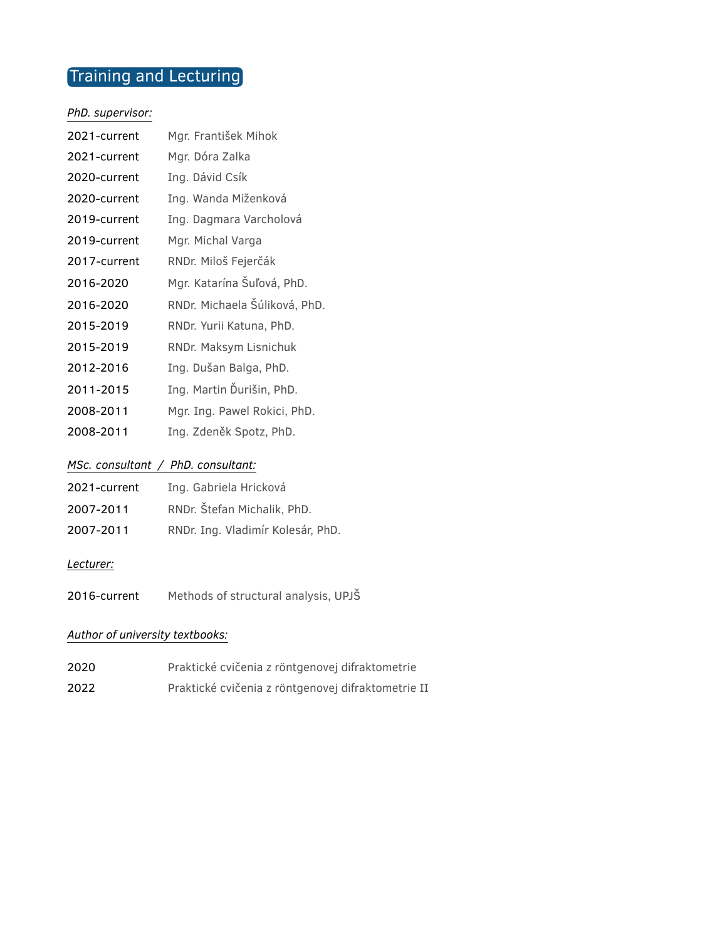# Training and Lecturing

#### *PhD. supervisor:*

| 2021-current | Mgr. František Mihok          |
|--------------|-------------------------------|
| 2021-current | Mgr. Dóra Zalka               |
| 2020-current | Ing. Dávid Csík               |
| 2020-current | Ing. Wanda Miženková          |
| 2019-current | Ing. Dagmara Varcholová       |
| 2019-current | Mgr. Michal Varga             |
| 2017-current | RNDr. Miloš Fejerčák          |
| 2016-2020    | Mgr. Katarína Šuľová, PhD.    |
| 2016-2020    | RNDr. Michaela Šúliková, PhD. |
| 2015-2019    | RNDr. Yurii Katuna, PhD.      |
| 2015-2019    | RNDr. Maksym Lisnichuk        |
| 2012-2016    | Ing. Dušan Balga, PhD.        |
| 2011-2015    | Ing. Martin Ďurišin, PhD.     |
| 2008-2011    | Mgr. Ing. Pawel Rokici, PhD.  |
| 2008-2011    | Ing. Zdeněk Spotz, PhD.       |

### *MSc. consultant / PhD. consultant:*

| 2021-current | Ing. Gabriela Hricková            |
|--------------|-----------------------------------|
| 2007-2011    | RNDr. Štefan Michalik, PhD.       |
| 2007-2011    | RNDr. Ing. Vladimír Kolesár, PhD. |

#### *Lecturer:*

2016-current Methods of structural analysis, UPJŠ

### *Author of university textbooks:*

| 2020 | Praktické cvičenia z röntgenovej difraktometrie    |
|------|----------------------------------------------------|
| 2022 | Praktické cvičenia z röntgenovej difraktometrie II |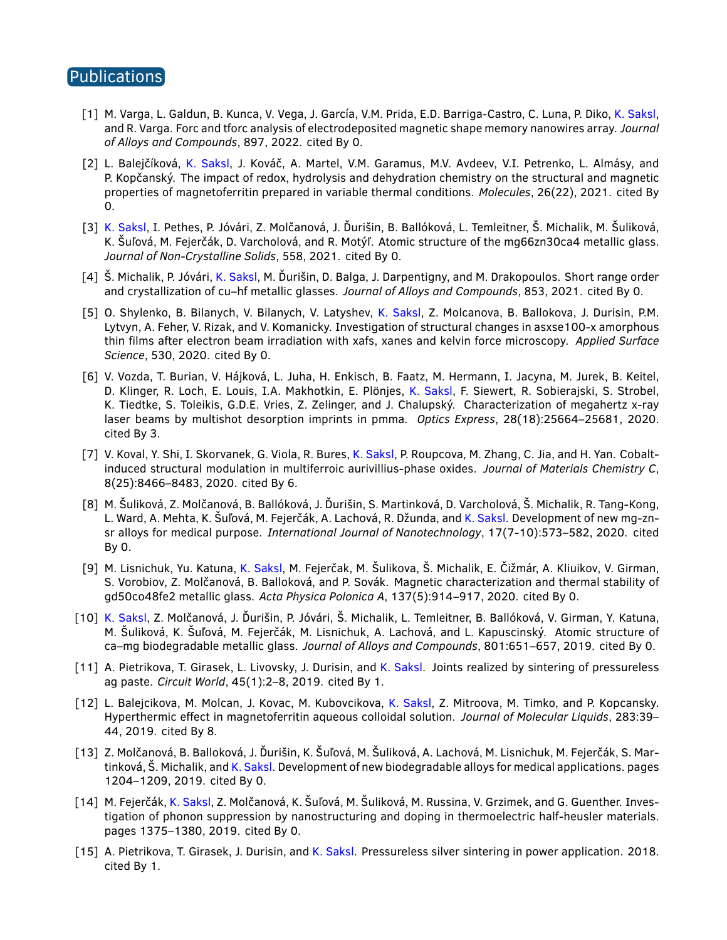## Publications

- [1] M. Varga, L. Galdun, B. Kunca, V. Vega, J. García, V.M. Prida, E.D. Barriga-Castro, C. Luna, P. Diko, K. Saksl, and R. Varga. Forc and tforc analysis of electrodeposited magnetic shape memory nanowires array. *Journal of Alloys and Compounds*, 897, 2022. cited By 0.
- [2] L. Balejčíková, K. Saksl, J. Kováč, A. Martel, V.M. Garamus, M.V. Avdeev, V.I. Petrenko, L. Almásy, and P. Kopčanský. The impact of redox, hydrolysis and dehydration chemistry on the structural and magnetic properties of magnetoferritin prepared in variable thermal conditions. *Molecules*, 26(22), 2021. cited By 0.
- [3] K. Saksl, I. Pethes, P. Jóvári, Z. Molčanová, J. Ďurišin, B. Ballóková, L. Temleitner, Š. Michalik, M. Šuliková, K. Šuľová, M. Fejerčák, D. Varcholová, and R. Motýľ. Atomic structure of the mg66zn30ca4 metallic glass. *Journal of Non-Crystalline Solids*, 558, 2021. cited By 0.
- [4] Š. Michalik, P. Jóvári, K. Saksl, M. Ďurišin, D. Balga, J. Darpentigny, and M. Drakopoulos. Short range order and crystallization of cu–hf metallic glasses. *Journal of Alloys and Compounds*, 853, 2021. cited By 0.
- [5] O. Shylenko, B. Bilanych, V. Bilanych, V. Latyshev, K. Saksl, Z. Molcanova, B. Ballokova, J. Durisin, P.M. Lytvyn, A. Feher, V. Rizak, and V. Komanicky. Investigation of structural changes in asxse100-x amorphous thin films after electron beam irradiation with xafs, xanes and kelvin force microscopy. *Applied Surface Science*, 530, 2020. cited By 0.
- [6] V. Vozda, T. Burian, V. Hájková, L. Juha, H. Enkisch, B. Faatz, M. Hermann, I. Jacyna, M. Jurek, B. Keitel, D. Klinger, R. Loch, E. Louis, I.A. Makhotkin, E. Plönjes, K. Saksl, F. Siewert, R. Sobierajski, S. Strobel, K. Tiedtke, S. Toleikis, G.D.E. Vries, Z. Zelinger, and J. Chalupský. Characterization of megahertz x-ray laser beams by multishot desorption imprints in pmma. *Optics Express*, 28(18):25664–25681, 2020. cited By 3.
- [7] V. Koval, Y. Shi, I. Skorvanek, G. Viola, R. Bures, K. Saksl, P. Roupcova, M. Zhang, C. Jia, and H. Yan. Cobaltinduced structural modulation in multiferroic aurivillius-phase oxides. *Journal of Materials Chemistry C*, 8(25):8466–8483, 2020. cited By 6.
- [8] M. Šuliková, Z. Molčanová, B. Ballóková, J. Ďurišin, S. Martinková, D. Varcholová, Š. Michalik, R. Tang-Kong, L. Ward, A. Mehta, K. Šuľová, M. Fejerčák, A. Lachová, R. Džunda, and K. Saksl. Development of new mg-znsr alloys for medical purpose. *International Journal of Nanotechnology*, 17(7-10):573–582, 2020. cited By 0.
- [9] M. Lisnichuk, Yu. Katuna, K. Saksl, M. Fejerčak, M. Šulikova, Š. Michalik, E. Čižmár, A. Kliuikov, V. Girman, S. Vorobiov, Z. Molčanová, B. Balloková, and P. Sovák. Magnetic characterization and thermal stability of gd50co48fe2 metallic glass. *Acta Physica Polonica A*, 137(5):914–917, 2020. cited By 0.
- [10] K. Saksl, Z. Molčanová, J. Ďurišin, P. Jóvári, Š. Michalik, L. Temleitner, B. Ballóková, V. Girman, Y. Katuna, M. Šuliková, K. Šuľová, M. Fejerčák, M. Lisnichuk, A. Lachová, and L. Kapuscinský. Atomic structure of ca–mg biodegradable metallic glass. *Journal of Alloys and Compounds*, 801:651–657, 2019. cited By 0.
- [11] A. Pietrikova, T. Girasek, L. Livovsky, J. Durisin, and K. Saksl. Joints realized by sintering of pressureless ag paste. *Circuit World*, 45(1):2–8, 2019. cited By 1.
- [12] L. Balejcikova, M. Molcan, J. Kovac, M. Kubovcikova, K. Saksl, Z. Mitroova, M. Timko, and P. Kopcansky. Hyperthermic effect in magnetoferritin aqueous colloidal solution. *Journal of Molecular Liquids*, 283:39– 44, 2019. cited By 8.
- [13] Z. Molčanová, B. Balloková, J. Ďurišin, K. Šuľová, M. Šuliková, A. Lachová, M. Lisnichuk, M. Fejerčák, S. Martinková, Š. Michalik, and K. Saksl. Development of new biodegradable alloys for medical applications. pages 1204–1209, 2019. cited By 0.
- [14] M. Fejerčák, K. Saksl, Z. Molčanová, K. Šuľová, M. Šuliková, M. Russina, V. Grzimek, and G. Guenther. Investigation of phonon suppression by nanostructuring and doping in thermoelectric half-heusler materials. pages 1375–1380, 2019. cited By 0.
- [15] A. Pietrikova, T. Girasek, J. Durisin, and K. Saksl. Pressureless silver sintering in power application. 2018. cited By 1.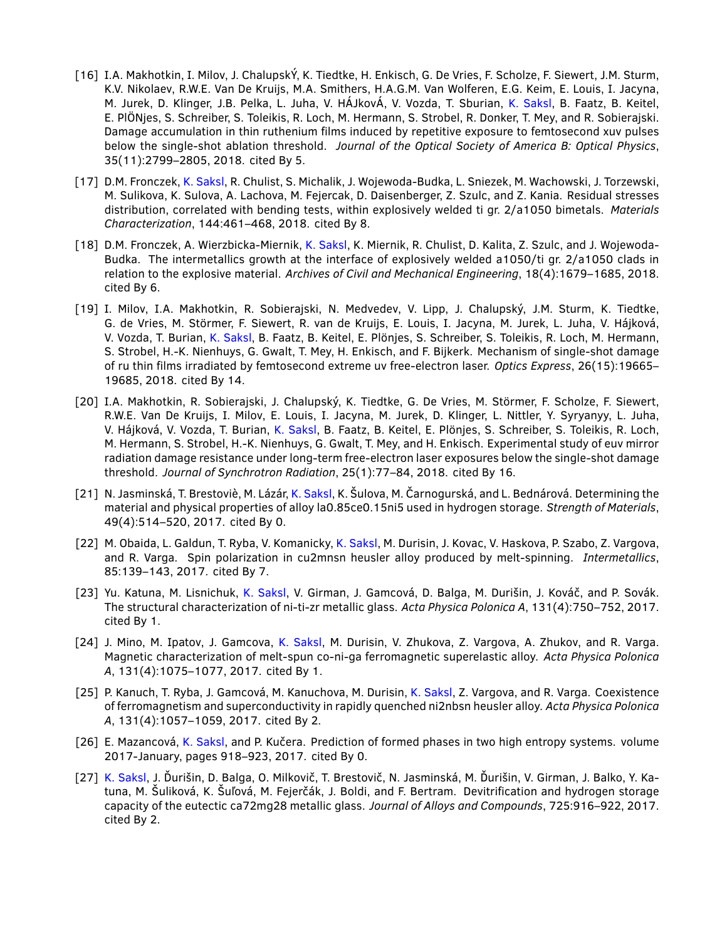- [16] I.A. Makhotkin, I. Milov, J. ChalupskÝ, K. Tiedtke, H. Enkisch, G. De Vries, F. Scholze, F. Siewert, J.M. Sturm, K.V. Nikolaev, R.W.E. Van De Kruijs, M.A. Smithers, H.A.G.M. Van Wolferen, E.G. Keim, E. Louis, I. Jacyna, M. Jurek, D. Klinger, J.B. Pelka, L. Juha, V. HÁJkovÁ, V. Vozda, T. Sburian, K. Saksl, B. Faatz, B. Keitel, E. PlÖNjes, S. Schreiber, S. Toleikis, R. Loch, M. Hermann, S. Strobel, R. Donker, T. Mey, and R. Sobierajski. Damage accumulation in thin ruthenium films induced by repetitive exposure to femtosecond xuv pulses below the single-shot ablation threshold. *Journal of the Optical Society of America B: Optical Physics*, 35(11):2799–2805, 2018. cited By 5.
- [17] D.M. Fronczek, K. Saksl, R. Chulist, S. Michalik, J. Wojewoda-Budka, L. Sniezek, M. Wachowski, J. Torzewski, M. Sulikova, K. Sulova, A. Lachova, M. Fejercak, D. Daisenberger, Z. Szulc, and Z. Kania. Residual stresses distribution, correlated with bending tests, within explosively welded ti gr. 2/a1050 bimetals. *Materials Characterization*, 144:461–468, 2018. cited By 8.
- [18] D.M. Fronczek, A. Wierzbicka-Miernik, K. Saksl, K. Miernik, R. Chulist, D. Kalita, Z. Szulc, and J. Wojewoda-Budka. The intermetallics growth at the interface of explosively welded a1050/ti gr. 2/a1050 clads in relation to the explosive material. *Archives of Civil and Mechanical Engineering*, 18(4):1679–1685, 2018. cited By 6.
- [19] I. Milov, I.A. Makhotkin, R. Sobierajski, N. Medvedev, V. Lipp, J. Chalupský, J.M. Sturm, K. Tiedtke, G. de Vries, M. Störmer, F. Siewert, R. van de Kruijs, E. Louis, I. Jacyna, M. Jurek, L. Juha, V. Hájková, V. Vozda, T. Burian, K. Saksl, B. Faatz, B. Keitel, E. Plönjes, S. Schreiber, S. Toleikis, R. Loch, M. Hermann, S. Strobel, H.-K. Nienhuys, G. Gwalt, T. Mey, H. Enkisch, and F. Bijkerk. Mechanism of single-shot damage of ru thin films irradiated by femtosecond extreme uv free-electron laser. *Optics Express*, 26(15):19665– 19685, 2018. cited By 14.
- [20] I.A. Makhotkin, R. Sobierajski, J. Chalupský, K. Tiedtke, G. De Vries, M. Störmer, F. Scholze, F. Siewert, R.W.E. Van De Kruijs, I. Milov, E. Louis, I. Jacyna, M. Jurek, D. Klinger, L. Nittler, Y. Syryanyy, L. Juha, V. Hájková, V. Vozda, T. Burian, K. Saksl, B. Faatz, B. Keitel, E. Plönjes, S. Schreiber, S. Toleikis, R. Loch, M. Hermann, S. Strobel, H.-K. Nienhuys, G. Gwalt, T. Mey, and H. Enkisch. Experimental study of euv mirror radiation damage resistance under long-term free-electron laser exposures below the single-shot damage threshold. *Journal of Synchrotron Radiation*, 25(1):77–84, 2018. cited By 16.
- [21] N. Jasminská, T. Brestoviè, M. Lázár, K. Saksl, K. Šulova, M. Čarnogurská, and L. Bednárová. Determining the material and physical properties of alloy la0.85ce0.15ni5 used in hydrogen storage. *Strength of Materials*, 49(4):514–520, 2017. cited By 0.
- [22] M. Obaida, L. Galdun, T. Ryba, V. Komanicky, K. Saksl, M. Durisin, J. Kovac, V. Haskova, P. Szabo, Z. Vargova, and R. Varga. Spin polarization in cu2mnsn heusler alloy produced by melt-spinning. *Intermetallics*, 85:139–143, 2017. cited By 7.
- [23] Yu. Katuna, M. Lisnichuk, K. Saksl, V. Girman, J. Gamcová, D. Balga, M. Durišin, J. Kováč, and P. Sovák. The structural characterization of ni-ti-zr metallic glass. *Acta Physica Polonica A*, 131(4):750–752, 2017. cited By 1.
- [24] J. Mino, M. Ipatov, J. Gamcova, K. Saksl, M. Durisin, V. Zhukova, Z. Vargova, A. Zhukov, and R. Varga. Magnetic characterization of melt-spun co-ni-ga ferromagnetic superelastic alloy. *Acta Physica Polonica A*, 131(4):1075–1077, 2017. cited By 1.
- [25] P. Kanuch, T. Ryba, J. Gamcová, M. Kanuchova, M. Durisin, K. Saksl, Z. Vargova, and R. Varga. Coexistence of ferromagnetism and superconductivity in rapidly quenched ni2nbsn heusler alloy. *Acta Physica Polonica A*, 131(4):1057–1059, 2017. cited By 2.
- [26] E. Mazancová, K. Saksl, and P. Kučera. Prediction of formed phases in two high entropy systems. volume 2017-January, pages 918–923, 2017. cited By 0.
- [27] K. Saksl, J. Ďurišin, D. Balga, O. Milkovič, T. Brestovič, N. Jasminská, M. Ďurišin, V. Girman, J. Balko, Y. Katuna, M. Šuliková, K. Šuľová, M. Fejerčák, J. Boldi, and F. Bertram. Devitrification and hydrogen storage capacity of the eutectic ca72mg28 metallic glass. *Journal of Alloys and Compounds*, 725:916–922, 2017. cited By 2.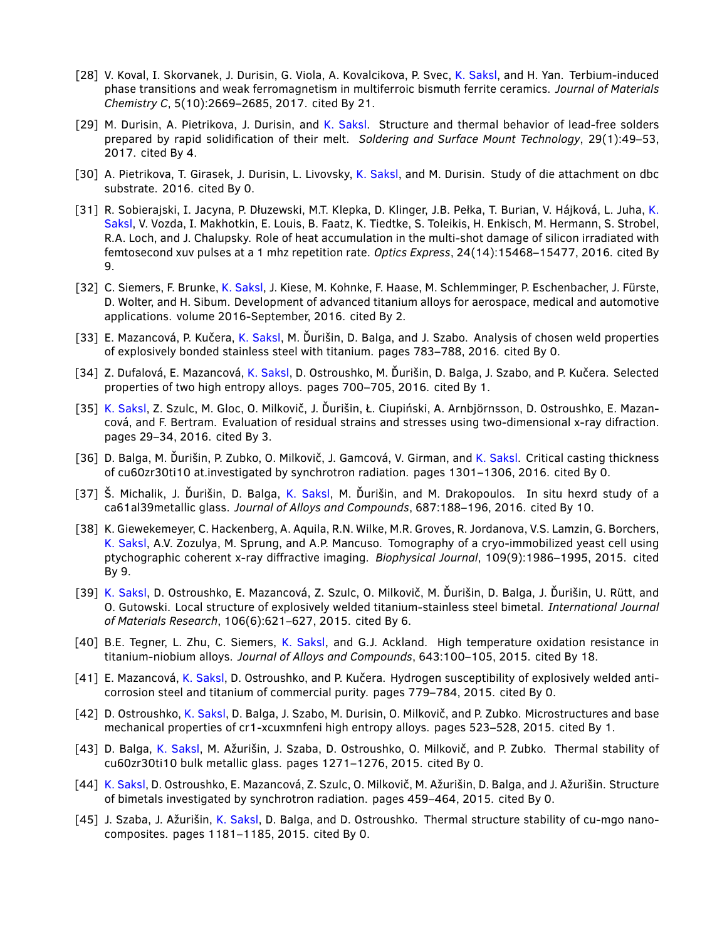- [28] V. Koval, I. Skorvanek, J. Durisin, G. Viola, A. Kovalcikova, P. Svec, K. Saksl, and H. Yan. Terbium-induced phase transitions and weak ferromagnetism in multiferroic bismuth ferrite ceramics. *Journal of Materials Chemistry C*, 5(10):2669–2685, 2017. cited By 21.
- [29] M. Durisin, A. Pietrikova, J. Durisin, and K. Saksl. Structure and thermal behavior of lead-free solders prepared by rapid solidification of their melt. *Soldering and Surface Mount Technology*, 29(1):49–53, 2017. cited By 4.
- [30] A. Pietrikova, T. Girasek, J. Durisin, L. Livovsky, K. Saksl, and M. Durisin. Study of die attachment on dbc substrate. 2016. cited By 0.
- [31] R. Sobierajski, I. Jacyna, P. Dłuzewski, M.T. Klepka, D. Klinger, J.B. Pełka, T. Burian, V. Hájková, L. Juha, K. Saksl, V. Vozda, I. Makhotkin, E. Louis, B. Faatz, K. Tiedtke, S. Toleikis, H. Enkisch, M. Hermann, S. Strobel, R.A. Loch, and J. Chalupsky. Role of heat accumulation in the multi-shot damage of silicon irradiated with femtosecond xuv pulses at a 1 mhz repetition rate. *Optics Express*, 24(14):15468–15477, 2016. cited By 9.
- [32] C. Siemers, F. Brunke, K. Saksl, J. Kiese, M. Kohnke, F. Haase, M. Schlemminger, P. Eschenbacher, J. Fürste, D. Wolter, and H. Sibum. Development of advanced titanium alloys for aerospace, medical and automotive applications. volume 2016-September, 2016. cited By 2.
- [33] E. Mazancová, P. Kučera, K. Saksl, M. Ďurišin, D. Balga, and J. Szabo. Analysis of chosen weld properties of explosively bonded stainless steel with titanium. pages 783–788, 2016. cited By 0.
- [34] Z. Dufalová, E. Mazancová, K. Saksl, D. Ostroushko, M. Ďurišin, D. Balga, J. Szabo, and P. Kučera. Selected properties of two high entropy alloys. pages 700–705, 2016. cited By 1.
- [35] K. Saksl, Z. Szulc, M. Gloc, O. Milkovič, J. Ďurišin, Ł. Ciupiński, A. Arnbjörnsson, D. Ostroushko, E. Mazancová, and F. Bertram. Evaluation of residual strains and stresses using two-dimensional x-ray difraction. pages 29–34, 2016. cited By 3.
- [36] D. Balga, M. Ďurišin, P. Zubko, O. Milkovič, J. Gamcová, V. Girman, and K. Saksl. Critical casting thickness of cu60zr30ti10 at.investigated by synchrotron radiation. pages 1301–1306, 2016. cited By 0.
- [37] Š. Michalik, J. Ďurišin, D. Balga, K. Saksl, M. Ďurišin, and M. Drakopoulos. In situ hexrd study of a ca61al39metallic glass. *Journal of Alloys and Compounds*, 687:188–196, 2016. cited By 10.
- [38] K. Giewekemeyer, C. Hackenberg, A. Aquila, R.N. Wilke, M.R. Groves, R. Jordanova, V.S. Lamzin, G. Borchers, K. Saksl, A.V. Zozulya, M. Sprung, and A.P. Mancuso. Tomography of a cryo-immobilized yeast cell using ptychographic coherent x-ray diffractive imaging. *Biophysical Journal*, 109(9):1986–1995, 2015. cited By 9.
- [39] K. Saksl, D. Ostroushko, E. Mazancová, Z. Szulc, O. Milkovič, M. Ďurišin, D. Balga, J. Ďurišin, U. Rütt, and O. Gutowski. Local structure of explosively welded titanium-stainless steel bimetal. *International Journal of Materials Research*, 106(6):621–627, 2015. cited By 6.
- [40] B.E. Tegner, L. Zhu, C. Siemers, K. Saksl, and G.J. Ackland. High temperature oxidation resistance in titanium-niobium alloys. *Journal of Alloys and Compounds*, 643:100–105, 2015. cited By 18.
- [41] E. Mazancová, K. Saksl, D. Ostroushko, and P. Kučera. Hydrogen susceptibility of explosively welded anticorrosion steel and titanium of commercial purity. pages 779–784, 2015. cited By 0.
- [42] D. Ostroushko, K. Saksl, D. Balga, J. Szabo, M. Durisin, O. Milkovič, and P. Zubko. Microstructures and base mechanical properties of cr1-xcuxmnfeni high entropy alloys. pages 523–528, 2015. cited By 1.
- [43] D. Balga, K. Saksl, M. Ažurišin, J. Szaba, D. Ostroushko, O. Milkovič, and P. Zubko. Thermal stability of cu60zr30ti10 bulk metallic glass. pages 1271–1276, 2015. cited By 0.
- [44] K. Saksl, D. Ostroushko, E. Mazancová, Z. Szulc, O. Milkovič, M. Ažurišin, D. Balga, and J. Ažurišin. Structure of bimetals investigated by synchrotron radiation. pages 459–464, 2015. cited By 0.
- [45] J. Szaba, J. Ažurišin, K. Saksl, D. Balga, and D. Ostroushko. Thermal structure stability of cu-mgo nanocomposites. pages 1181–1185, 2015. cited By 0.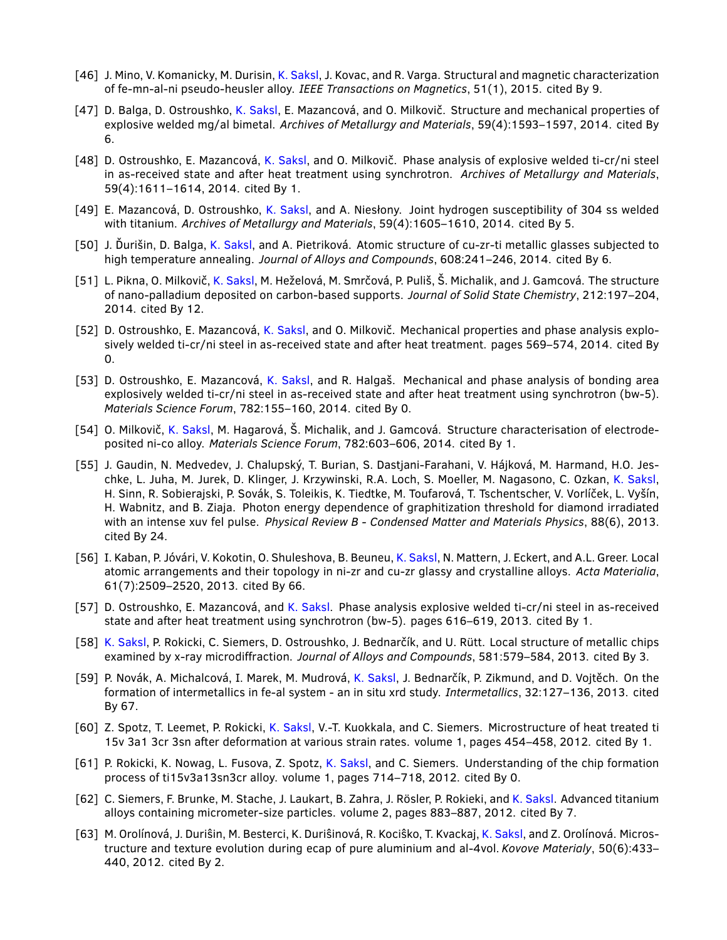- [46] J. Mino, V. Komanicky, M. Durisin, K. Saksl, J. Kovac, and R. Varga. Structural and magnetic characterization of fe-mn-al-ni pseudo-heusler alloy. *IEEE Transactions on Magnetics*, 51(1), 2015. cited By 9.
- [47] D. Balga, D. Ostroushko, K. Saksl, E. Mazancová, and O. Milkovič. Structure and mechanical properties of explosive welded mg/al bimetal. *Archives of Metallurgy and Materials*, 59(4):1593–1597, 2014. cited By 6.
- [48] D. Ostroushko, E. Mazancová, K. Saksl, and O. Milkovič. Phase analysis of explosive welded ti-cr/ni steel in as-received state and after heat treatment using synchrotron. *Archives of Metallurgy and Materials*, 59(4):1611–1614, 2014. cited By 1.
- [49] E. Mazancová, D. Ostroushko, K. Saksl, and A. Niesłony. Joint hydrogen susceptibility of 304 ss welded with titanium. *Archives of Metallurgy and Materials*, 59(4):1605–1610, 2014. cited By 5.
- [50] J. Ďurišin, D. Balga, K. Saksl, and A. Pietriková. Atomic structure of cu-zr-ti metallic glasses subjected to high temperature annealing. *Journal of Alloys and Compounds*, 608:241–246, 2014. cited By 6.
- [51] L. Pikna, O. Milkovič, K. Saksl, M. Heželová, M. Smrčová, P. Puliš, Š. Michalik, and J. Gamcová. The structure of nano-palladium deposited on carbon-based supports. *Journal of Solid State Chemistry*, 212:197–204, 2014. cited By 12.
- [52] D. Ostroushko, E. Mazancová, K. Saksl, and O. Milkovič. Mechanical properties and phase analysis explosively welded ti-cr/ni steel in as-received state and after heat treatment. pages 569–574, 2014. cited By 0.
- [53] D. Ostroushko, E. Mazancová, K. Saksl, and R. Halgaš. Mechanical and phase analysis of bonding area explosively welded ti-cr/ni steel in as-received state and after heat treatment using synchrotron (bw-5). *Materials Science Forum*, 782:155–160, 2014. cited By 0.
- [54] O. Milkovič, K. Saksl, M. Hagarová, Š. Michalik, and J. Gamcová. Structure characterisation of electrodeposited ni-co alloy. *Materials Science Forum*, 782:603–606, 2014. cited By 1.
- [55] J. Gaudin, N. Medvedev, J. Chalupský, T. Burian, S. Dastjani-Farahani, V. Hájková, M. Harmand, H.O. Jeschke, L. Juha, M. Jurek, D. Klinger, J. Krzywinski, R.A. Loch, S. Moeller, M. Nagasono, C. Ozkan, K. Saksl, H. Sinn, R. Sobierajski, P. Sovák, S. Toleikis, K. Tiedtke, M. Toufarová, T. Tschentscher, V. Vorlíček, L. Vyšín, H. Wabnitz, and B. Ziaja. Photon energy dependence of graphitization threshold for diamond irradiated with an intense xuv fel pulse. *Physical Review B - Condensed Matter and Materials Physics*, 88(6), 2013. cited By 24.
- [56] I. Kaban, P. Jóvári, V. Kokotin, O. Shuleshova, B. Beuneu, K. Saksl, N. Mattern, J. Eckert, and A.L. Greer. Local atomic arrangements and their topology in ni-zr and cu-zr glassy and crystalline alloys. *Acta Materialia*, 61(7):2509–2520, 2013. cited By 66.
- [57] D. Ostroushko, E. Mazancová, and K. Saksl. Phase analysis explosive welded ti-cr/ni steel in as-received state and after heat treatment using synchrotron (bw-5). pages 616–619, 2013. cited By 1.
- [58] K. Saksl, P. Rokicki, C. Siemers, D. Ostroushko, J. Bednarčík, and U. Rütt. Local structure of metallic chips examined by x-ray microdiffraction. *Journal of Alloys and Compounds*, 581:579–584, 2013. cited By 3.
- [59] P. Novák, A. Michalcová, I. Marek, M. Mudrová, K. Saksl, J. Bednarčík, P. Zikmund, and D. Vojtěch. On the formation of intermetallics in fe-al system - an in situ xrd study. *Intermetallics*, 32:127–136, 2013. cited By 67.
- [60] Z. Spotz, T. Leemet, P. Rokicki, K. Saksl, V.-T. Kuokkala, and C. Siemers. Microstructure of heat treated ti 15v 3a1 3cr 3sn after deformation at various strain rates. volume 1, pages 454–458, 2012. cited By 1.
- [61] P. Rokicki, K. Nowag, L. Fusova, Z. Spotz, K. Saksl, and C. Siemers. Understanding of the chip formation process of ti15v3a13sn3cr alloy. volume 1, pages 714–718, 2012. cited By 0.
- [62] C. Siemers, F. Brunke, M. Stache, J. Laukart, B. Zahra, J. Rösler, P. Rokieki, and K. Saksl. Advanced titanium alloys containing micrometer-size particles. volume 2, pages 883–887, 2012. cited By 7.
- [63] M. Orolínová, J. Duriŝin, M. Besterci, K. Duriŝinová, R. Kociŝko, T. Kvackaj, K. Saksl, and Z. Orolínová. Microstructure and texture evolution during ecap of pure aluminium and al-4vol. *Kovove Materialy*, 50(6):433– 440, 2012. cited By 2.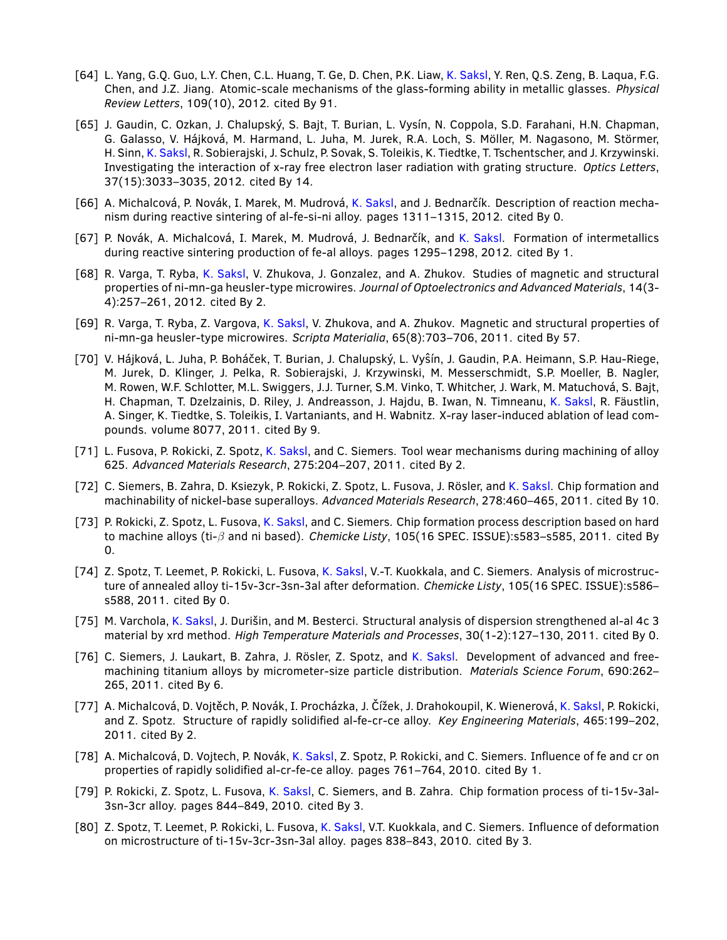- [64] L. Yang, G.Q. Guo, L.Y. Chen, C.L. Huang, T. Ge, D. Chen, P.K. Liaw, K. Saksl, Y. Ren, Q.S. Zeng, B. Laqua, F.G. Chen, and J.Z. Jiang. Atomic-scale mechanisms of the glass-forming ability in metallic glasses. *Physical Review Letters*, 109(10), 2012. cited By 91.
- [65] J. Gaudin, C. Ozkan, J. Chalupský, S. Bajt, T. Burian, L. Vysín, N. Coppola, S.D. Farahani, H.N. Chapman, G. Galasso, V. Hájková, M. Harmand, L. Juha, M. Jurek, R.A. Loch, S. Möller, M. Nagasono, M. Störmer, H. Sinn, K. Saksl, R. Sobierajski, J. Schulz, P. Sovak, S. Toleikis, K. Tiedtke, T. Tschentscher, and J. Krzywinski. Investigating the interaction of x-ray free electron laser radiation with grating structure. *Optics Letters*, 37(15):3033–3035, 2012. cited By 14.
- [66] A. Michalcová, P. Novák, I. Marek, M. Mudrová, K. Saksl, and J. Bednarčík. Description of reaction mechanism during reactive sintering of al-fe-si-ni alloy. pages 1311–1315, 2012. cited By 0.
- [67] P. Novák, A. Michalcová, I. Marek, M. Mudrová, J. Bednarčík, and K. Saksl. Formation of intermetallics during reactive sintering production of fe-al alloys. pages 1295–1298, 2012. cited By 1.
- [68] R. Varga, T. Ryba, K. Saksl, V. Zhukova, J. Gonzalez, and A. Zhukov. Studies of magnetic and structural properties of ni-mn-ga heusler-type microwires. *Journal of Optoelectronics and Advanced Materials*, 14(3- 4):257–261, 2012. cited By 2.
- [69] R. Varga, T. Ryba, Z. Vargova, K. Saksl, V. Zhukova, and A. Zhukov. Magnetic and structural properties of ni-mn-ga heusler-type microwires. *Scripta Materialia*, 65(8):703–706, 2011. cited By 57.
- [70] V. Hájková, L. Juha, P. Boháček, T. Burian, J. Chalupský, L. Vyˆsín, J. Gaudin, P.A. Heimann, S.P. Hau-Riege, M. Jurek, D. Klinger, J. Pelka, R. Sobierajski, J. Krzywinski, M. Messerschmidt, S.P. Moeller, B. Nagler, M. Rowen, W.F. Schlotter, M.L. Swiggers, J.J. Turner, S.M. Vinko, T. Whitcher, J. Wark, M. Matuchová, S. Bajt, H. Chapman, T. Dzelzainis, D. Riley, J. Andreasson, J. Hajdu, B. Iwan, N. Timneanu, K. Saksl, R. Fäustlin, A. Singer, K. Tiedtke, S. Toleikis, I. Vartaniants, and H. Wabnitz. X-ray laser-induced ablation of lead compounds. volume 8077, 2011. cited By 9.
- [71] L. Fusova, P. Rokicki, Z. Spotz, K. Saksl, and C. Siemers. Tool wear mechanisms during machining of alloy 625. *Advanced Materials Research*, 275:204–207, 2011. cited By 2.
- [72] C. Siemers, B. Zahra, D. Ksiezyk, P. Rokicki, Z. Spotz, L. Fusova, J. Rösler, and K. Saksl. Chip formation and machinability of nickel-base superalloys. *Advanced Materials Research*, 278:460–465, 2011. cited By 10.
- [73] P. Rokicki, Z. Spotz, L. Fusova, K. Saksl, and C. Siemers. Chip formation process description based on hard to machine alloys (ti-β and ni based). *Chemicke Listy*, 105(16 SPEC. ISSUE):s583–s585, 2011. cited By 0.
- [74] Z. Spotz, T. Leemet, P. Rokicki, L. Fusova, K. Saksl, V.-T. Kuokkala, and C. Siemers. Analysis of microstructure of annealed alloy ti-15v-3cr-3sn-3al after deformation. *Chemicke Listy*, 105(16 SPEC. ISSUE):s586– s588, 2011. cited By 0.
- [75] M. Varchola, K. Saksl, J. Durišin, and M. Besterci. Structural analysis of dispersion strengthened al-al 4c 3 material by xrd method. *High Temperature Materials and Processes*, 30(1-2):127–130, 2011. cited By 0.
- [76] C. Siemers, J. Laukart, B. Zahra, J. Rösler, Z. Spotz, and K. Saksl. Development of advanced and freemachining titanium alloys by micrometer-size particle distribution. *Materials Science Forum*, 690:262– 265, 2011. cited By 6.
- [77] A. Michalcová, D. Vojtěch, P. Novák, I. Procházka, J. Čížek, J. Drahokoupil, K. Wienerová, K. Saksl, P. Rokicki, and Z. Spotz. Structure of rapidly solidified al-fe-cr-ce alloy. *Key Engineering Materials*, 465:199–202, 2011. cited By 2.
- [78] A. Michalcová, D. Vojtech, P. Novák, K. Saksl, Z. Spotz, P. Rokicki, and C. Siemers. Influence of fe and cr on properties of rapidly solidified al-cr-fe-ce alloy. pages 761–764, 2010. cited By 1.
- [79] P. Rokicki, Z. Spotz, L. Fusova, K. Saksl, C. Siemers, and B. Zahra. Chip formation process of ti-15v-3al-3sn-3cr alloy. pages 844–849, 2010. cited By 3.
- [80] Z. Spotz, T. Leemet, P. Rokicki, L. Fusova, K. Saksl, V.T. Kuokkala, and C. Siemers. Influence of deformation on microstructure of ti-15v-3cr-3sn-3al alloy. pages 838–843, 2010. cited By 3.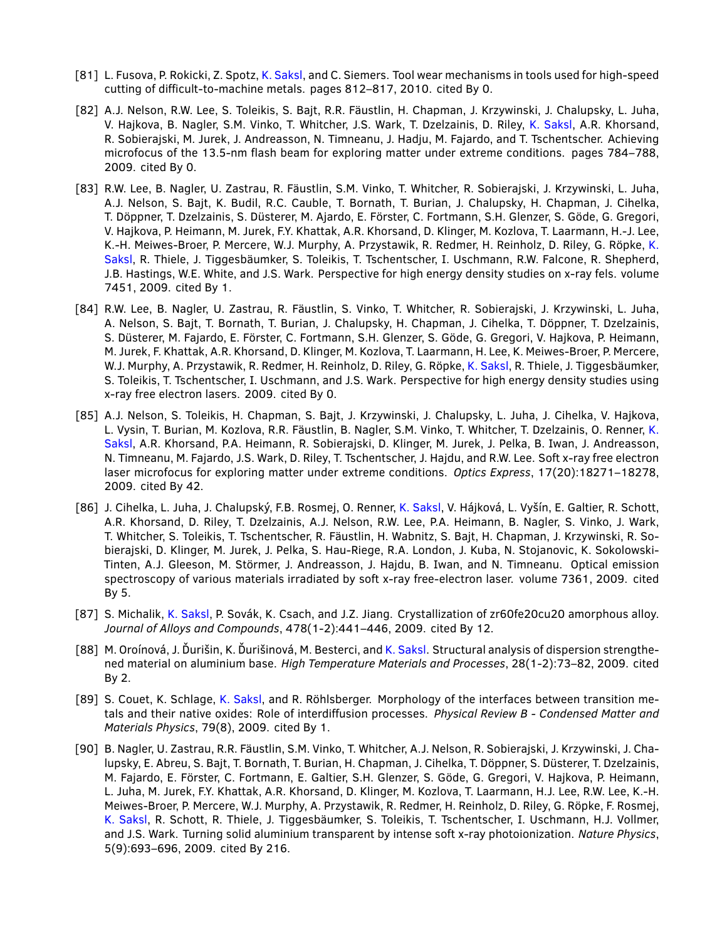- [81] L. Fusova, P. Rokicki, Z. Spotz, K. Saksl, and C. Siemers. Tool wear mechanisms in tools used for high-speed cutting of difficult-to-machine metals. pages 812–817, 2010. cited By 0.
- [82] A.J. Nelson, R.W. Lee, S. Toleikis, S. Bajt, R.R. Fäustlin, H. Chapman, J. Krzywinski, J. Chalupsky, L. Juha, V. Hajkova, B. Nagler, S.M. Vinko, T. Whitcher, J.S. Wark, T. Dzelzainis, D. Riley, K. Saksl, A.R. Khorsand, R. Sobierajski, M. Jurek, J. Andreasson, N. Timneanu, J. Hadju, M. Fajardo, and T. Tschentscher. Achieving microfocus of the 13.5-nm flash beam for exploring matter under extreme conditions. pages 784–788, 2009. cited By 0.
- [83] R.W. Lee, B. Nagler, U. Zastrau, R. Fäustlin, S.M. Vinko, T. Whitcher, R. Sobierajski, J. Krzywinski, L. Juha, A.J. Nelson, S. Bajt, K. Budil, R.C. Cauble, T. Bornath, T. Burian, J. Chalupsky, H. Chapman, J. Cihelka, T. Döppner, T. Dzelzainis, S. Düsterer, M. Ajardo, E. Förster, C. Fortmann, S.H. Glenzer, S. Göde, G. Gregori, V. Hajkova, P. Heimann, M. Jurek, F.Y. Khattak, A.R. Khorsand, D. Klinger, M. Kozlova, T. Laarmann, H.-J. Lee, K.-H. Meiwes-Broer, P. Mercere, W.J. Murphy, A. Przystawik, R. Redmer, H. Reinholz, D. Riley, G. Röpke, K. Saksl, R. Thiele, J. Tiggesbäumker, S. Toleikis, T. Tschentscher, I. Uschmann, R.W. Falcone, R. Shepherd, J.B. Hastings, W.E. White, and J.S. Wark. Perspective for high energy density studies on x-ray fels. volume 7451, 2009. cited By 1.
- [84] R.W. Lee, B. Nagler, U. Zastrau, R. Fäustlin, S. Vinko, T. Whitcher, R. Sobierajski, J. Krzywinski, L. Juha, A. Nelson, S. Bajt, T. Bornath, T. Burian, J. Chalupsky, H. Chapman, J. Cihelka, T. Döppner, T. Dzelzainis, S. Düsterer, M. Fajardo, E. Förster, C. Fortmann, S.H. Glenzer, S. Göde, G. Gregori, V. Hajkova, P. Heimann, M. Jurek, F. Khattak, A.R. Khorsand, D. Klinger, M. Kozlova, T. Laarmann, H. Lee, K. Meiwes-Broer, P. Mercere, W.J. Murphy, A. Przystawik, R. Redmer, H. Reinholz, D. Riley, G. Röpke, K. Saksl, R. Thiele, J. Tiggesbäumker, S. Toleikis, T. Tschentscher, I. Uschmann, and J.S. Wark. Perspective for high energy density studies using x-ray free electron lasers. 2009. cited By 0.
- [85] A.J. Nelson, S. Toleikis, H. Chapman, S. Bajt, J. Krzywinski, J. Chalupsky, L. Juha, J. Cihelka, V. Hajkova, L. Vysin, T. Burian, M. Kozlova, R.R. Fäustlin, B. Nagler, S.M. Vinko, T. Whitcher, T. Dzelzainis, O. Renner, K. Saksl, A.R. Khorsand, P.A. Heimann, R. Sobierajski, D. Klinger, M. Jurek, J. Pelka, B. Iwan, J. Andreasson, N. Timneanu, M. Fajardo, J.S. Wark, D. Riley, T. Tschentscher, J. Hajdu, and R.W. Lee. Soft x-ray free electron laser microfocus for exploring matter under extreme conditions. *Optics Express*, 17(20):18271–18278, 2009. cited By 42.
- [86] J. Cihelka, L. Juha, J. Chalupský, F.B. Rosmej, O. Renner, K. Saksl, V. Hájková, L. Vyšín, E. Galtier, R. Schott, A.R. Khorsand, D. Riley, T. Dzelzainis, A.J. Nelson, R.W. Lee, P.A. Heimann, B. Nagler, S. Vinko, J. Wark, T. Whitcher, S. Toleikis, T. Tschentscher, R. Fäustlin, H. Wabnitz, S. Bajt, H. Chapman, J. Krzywinski, R. Sobierajski, D. Klinger, M. Jurek, J. Pelka, S. Hau-Riege, R.A. London, J. Kuba, N. Stojanovic, K. Sokolowski-Tinten, A.J. Gleeson, M. Störmer, J. Andreasson, J. Hajdu, B. Iwan, and N. Timneanu. Optical emission spectroscopy of various materials irradiated by soft x-ray free-electron laser. volume 7361, 2009. cited By 5.
- [87] S. Michalik, K. Saksl, P. Sovák, K. Csach, and J.Z. Jiang. Crystallization of zr60fe20cu20 amorphous alloy. *Journal of Alloys and Compounds*, 478(1-2):441–446, 2009. cited By 12.
- [88] M. Oroínová, J. Ďurišin, K. Ďurišinová, M. Besterci, and K. Saksl. Structural analysis of dispersion strengthened material on aluminium base. *High Temperature Materials and Processes*, 28(1-2):73–82, 2009. cited By 2.
- [89] S. Couet, K. Schlage, K. Saksl, and R. Röhlsberger. Morphology of the interfaces between transition metals and their native oxides: Role of interdiffusion processes. *Physical Review B - Condensed Matter and Materials Physics*, 79(8), 2009. cited By 1.
- [90] B. Nagler, U. Zastrau, R.R. Fäustlin, S.M. Vinko, T. Whitcher, A.J. Nelson, R. Sobierajski, J. Krzywinski, J. Chalupsky, E. Abreu, S. Bajt, T. Bornath, T. Burian, H. Chapman, J. Cihelka, T. Döppner, S. Düsterer, T. Dzelzainis, M. Fajardo, E. Förster, C. Fortmann, E. Galtier, S.H. Glenzer, S. Göde, G. Gregori, V. Hajkova, P. Heimann, L. Juha, M. Jurek, F.Y. Khattak, A.R. Khorsand, D. Klinger, M. Kozlova, T. Laarmann, H.J. Lee, R.W. Lee, K.-H. Meiwes-Broer, P. Mercere, W.J. Murphy, A. Przystawik, R. Redmer, H. Reinholz, D. Riley, G. Röpke, F. Rosmej, K. Saksl, R. Schott, R. Thiele, J. Tiggesbäumker, S. Toleikis, T. Tschentscher, I. Uschmann, H.J. Vollmer, and J.S. Wark. Turning solid aluminium transparent by intense soft x-ray photoionization. *Nature Physics*, 5(9):693–696, 2009. cited By 216.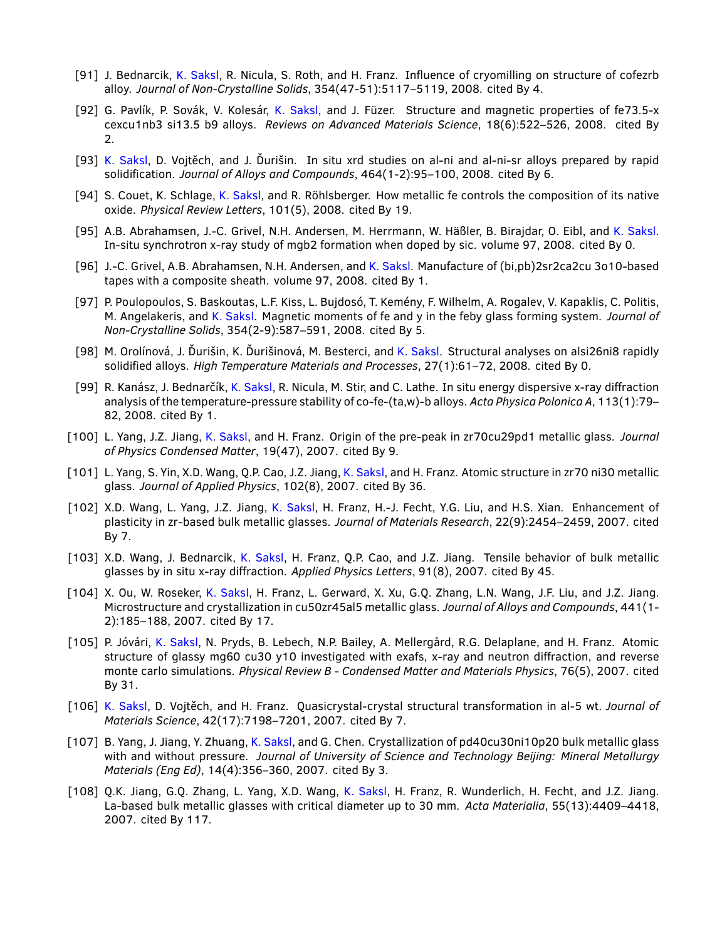- [91] J. Bednarcik, K. Saksl, R. Nicula, S. Roth, and H. Franz. Influence of cryomilling on structure of cofezrb alloy. *Journal of Non-Crystalline Solids*, 354(47-51):5117–5119, 2008. cited By 4.
- [92] G. Pavlík, P. Sovák, V. Kolesár, K. Saksl, and J. Füzer. Structure and magnetic properties of fe73.5-x cexcu1nb3 si13.5 b9 alloys. *Reviews on Advanced Materials Science*, 18(6):522–526, 2008. cited By 2.
- [93] K. Saksl, D. Vojtěch, and J. Ďurišin. In situ xrd studies on al-ni and al-ni-sr alloys prepared by rapid solidification. *Journal of Alloys and Compounds*, 464(1-2):95–100, 2008. cited By 6.
- [94] S. Couet, K. Schlage, K. Saksl, and R. Röhlsberger. How metallic fe controls the composition of its native oxide. *Physical Review Letters*, 101(5), 2008. cited By 19.
- [95] A.B. Abrahamsen, J.-C. Grivel, N.H. Andersen, M. Herrmann, W. Häßler, B. Birajdar, O. Eibl, and K. Saksl. In-situ synchrotron x-ray study of mgb2 formation when doped by sic. volume 97, 2008. cited By 0.
- [96] J.-C. Grivel, A.B. Abrahamsen, N.H. Andersen, and K. Saksl. Manufacture of (bi,pb)2sr2ca2cu 3o10-based tapes with a composite sheath. volume 97, 2008. cited By 1.
- [97] P. Poulopoulos, S. Baskoutas, L.F. Kiss, L. Bujdosó, T. Kemény, F. Wilhelm, A. Rogalev, V. Kapaklis, C. Politis, M. Angelakeris, and K. Saksl. Magnetic moments of fe and y in the feby glass forming system. *Journal of Non-Crystalline Solids*, 354(2-9):587–591, 2008. cited By 5.
- [98] M. Orolínová, J. Ďurišin, K. Ďurišinová, M. Besterci, and K. Saksl. Structural analyses on alsi26ni8 rapidly solidified alloys. *High Temperature Materials and Processes*, 27(1):61–72, 2008. cited By 0.
- [99] R. Kanász, J. Bednarčík, K. Saksl, R. Nicula, M. Stir, and C. Lathe. In situ energy dispersive x-ray diffraction analysis of the temperature-pressure stability of co-fe-(ta,w)-b alloys. *Acta Physica Polonica A*, 113(1):79– 82, 2008. cited By 1.
- [100] L. Yang, J.Z. Jiang, K. Saksl, and H. Franz. Origin of the pre-peak in zr70cu29pd1 metallic glass. *Journal of Physics Condensed Matter*, 19(47), 2007. cited By 9.
- [101] L. Yang, S. Yin, X.D. Wang, Q.P. Cao, J.Z. Jiang, K. Saksl, and H. Franz. Atomic structure in zr70 ni30 metallic glass. *Journal of Applied Physics*, 102(8), 2007. cited By 36.
- [102] X.D. Wang, L. Yang, J.Z. Jiang, K. Saksl, H. Franz, H.-J. Fecht, Y.G. Liu, and H.S. Xian. Enhancement of plasticity in zr-based bulk metallic glasses. *Journal of Materials Research*, 22(9):2454–2459, 2007. cited By 7.
- [103] X.D. Wang, J. Bednarcik, K. Saksl, H. Franz, Q.P. Cao, and J.Z. Jiang. Tensile behavior of bulk metallic glasses by in situ x-ray diffraction. *Applied Physics Letters*, 91(8), 2007. cited By 45.
- [104] X. Ou, W. Roseker, K. Saksl, H. Franz, L. Gerward, X. Xu, G.Q. Zhang, L.N. Wang, J.F. Liu, and J.Z. Jiang. Microstructure and crystallization in cu50zr45al5 metallic glass. *Journal of Alloys and Compounds*, 441(1- 2):185–188, 2007. cited By 17.
- [105] P. Jóvári, K. Saksl, N. Pryds, B. Lebech, N.P. Bailey, A. Mellergård, R.G. Delaplane, and H. Franz. Atomic structure of glassy mg60 cu30 y10 investigated with exafs, x-ray and neutron diffraction, and reverse monte carlo simulations. *Physical Review B - Condensed Matter and Materials Physics*, 76(5), 2007. cited By 31.
- [106] K. Saksl, D. Vojtěch, and H. Franz. Quasicrystal-crystal structural transformation in al-5 wt. *Journal of Materials Science*, 42(17):7198–7201, 2007. cited By 7.
- [107] B. Yang, J. Jiang, Y. Zhuang, K. Saksl, and G. Chen. Crystallization of pd40cu30ni10p20 bulk metallic glass with and without pressure. *Journal of University of Science and Technology Beijing: Mineral Metallurgy Materials (Eng Ed)*, 14(4):356–360, 2007. cited By 3.
- [108] Q.K. Jiang, G.Q. Zhang, L. Yang, X.D. Wang, K. Saksl, H. Franz, R. Wunderlich, H. Fecht, and J.Z. Jiang. La-based bulk metallic glasses with critical diameter up to 30 mm. *Acta Materialia*, 55(13):4409–4418, 2007. cited By 117.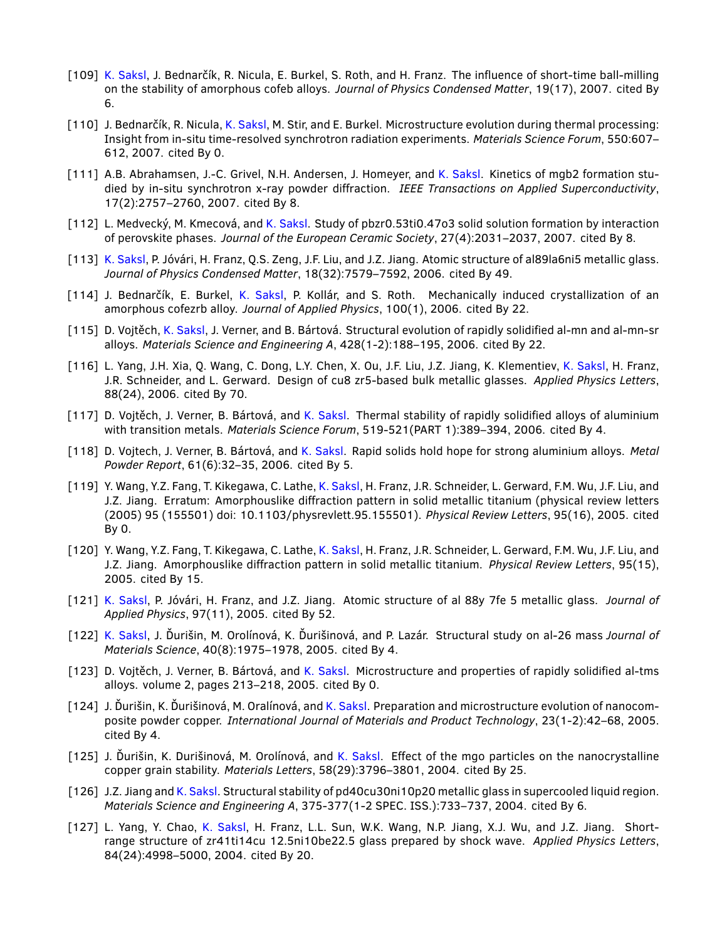- [109] K. Saksl, J. Bednarčík, R. Nicula, E. Burkel, S. Roth, and H. Franz. The influence of short-time ball-milling on the stability of amorphous cofeb alloys. *Journal of Physics Condensed Matter*, 19(17), 2007. cited By 6.
- [110] J. Bednarčík, R. Nicula, K. Saksl, M. Stir, and E. Burkel. Microstructure evolution during thermal processing: Insight from in-situ time-resolved synchrotron radiation experiments. *Materials Science Forum*, 550:607– 612, 2007. cited By 0.
- [111] A.B. Abrahamsen, J.-C. Grivel, N.H. Andersen, J. Homeyer, and K. Saksl. Kinetics of mgb2 formation studied by in-situ synchrotron x-ray powder diffraction. *IEEE Transactions on Applied Superconductivity*, 17(2):2757–2760, 2007. cited By 8.
- [112] L. Medvecký, M. Kmecová, and K. Saksl. Study of pbzr0.53ti0.47o3 solid solution formation by interaction of perovskite phases. *Journal of the European Ceramic Society*, 27(4):2031–2037, 2007. cited By 8.
- [113] K. Saksl, P. Jóvári, H. Franz, Q.S. Zeng, J.F. Liu, and J.Z. Jiang. Atomic structure of al89la6ni5 metallic glass. *Journal of Physics Condensed Matter*, 18(32):7579–7592, 2006. cited By 49.
- [114] J. Bednarčík, E. Burkel, K. Saksl, P. Kollár, and S. Roth. Mechanically induced crystallization of an amorphous cofezrb alloy. *Journal of Applied Physics*, 100(1), 2006. cited By 22.
- [115] D. Vojtěch, K. Saksl, J. Verner, and B. Bártová. Structural evolution of rapidly solidified al-mn and al-mn-sr alloys. *Materials Science and Engineering A*, 428(1-2):188–195, 2006. cited By 22.
- [116] L. Yang, J.H. Xia, Q. Wang, C. Dong, L.Y. Chen, X. Ou, J.F. Liu, J.Z. Jiang, K. Klementiev, K. Saksl, H. Franz, J.R. Schneider, and L. Gerward. Design of cu8 zr5-based bulk metallic glasses. *Applied Physics Letters*, 88(24), 2006. cited By 70.
- [117] D. Vojtěch, J. Verner, B. Bártová, and K. Saksl. Thermal stability of rapidly solidified alloys of aluminium with transition metals. *Materials Science Forum*, 519-521(PART 1):389–394, 2006. cited By 4.
- [118] D. Vojtech, J. Verner, B. Bártová, and K. Saksl. Rapid solids hold hope for strong aluminium alloys. *Metal Powder Report*, 61(6):32–35, 2006. cited By 5.
- [119] Y. Wang, Y.Z. Fang, T. Kikegawa, C. Lathe, K. Saksl, H. Franz, J.R. Schneider, L. Gerward, F.M. Wu, J.F. Liu, and J.Z. Jiang. Erratum: Amorphouslike diffraction pattern in solid metallic titanium (physical review letters (2005) 95 (155501) doi: 10.1103/physrevlett.95.155501). *Physical Review Letters*, 95(16), 2005. cited By 0.
- [120] Y. Wang, Y.Z. Fang, T. Kikegawa, C. Lathe, K. Saksl, H. Franz, J.R. Schneider, L. Gerward, F.M. Wu, J.F. Liu, and J.Z. Jiang. Amorphouslike diffraction pattern in solid metallic titanium. *Physical Review Letters*, 95(15), 2005. cited By 15.
- [121] K. Saksl, P. Jóvári, H. Franz, and J.Z. Jiang. Atomic structure of al 88y 7fe 5 metallic glass. *Journal of Applied Physics*, 97(11), 2005. cited By 52.
- [122] K. Saksl, J. Ďurišin, M. Orolínová, K. Ďurišinová, and P. Lazár. Structural study on al-26 mass *Journal of Materials Science*, 40(8):1975–1978, 2005. cited By 4.
- [123] D. Vojtěch, J. Verner, B. Bártová, and K. Saksl. Microstructure and properties of rapidly solidified al-tms alloys. volume 2, pages 213–218, 2005. cited By 0.
- [124] J. Ďurišin, K. Ďurišinová, M. Oralínová, and K. Saksl. Preparation and microstructure evolution of nanocomposite powder copper. *International Journal of Materials and Product Technology*, 23(1-2):42–68, 2005. cited By 4.
- [125] J. Ďurišin, K. Durišinová, M. Orolínová, and K. Saksl. Effect of the mgo particles on the nanocrystalline copper grain stability. *Materials Letters*, 58(29):3796–3801, 2004. cited By 25.
- [126] J.Z. Jiang and K. Saksl. Structural stability of pd40cu30ni10p20 metallic glass in supercooled liquid region. *Materials Science and Engineering A*, 375-377(1-2 SPEC. ISS.):733–737, 2004. cited By 6.
- [127] L. Yang, Y. Chao, K. Saksl, H. Franz, L.L. Sun, W.K. Wang, N.P. Jiang, X.J. Wu, and J.Z. Jiang. Shortrange structure of zr41ti14cu 12.5ni10be22.5 glass prepared by shock wave. *Applied Physics Letters*, 84(24):4998–5000, 2004. cited By 20.